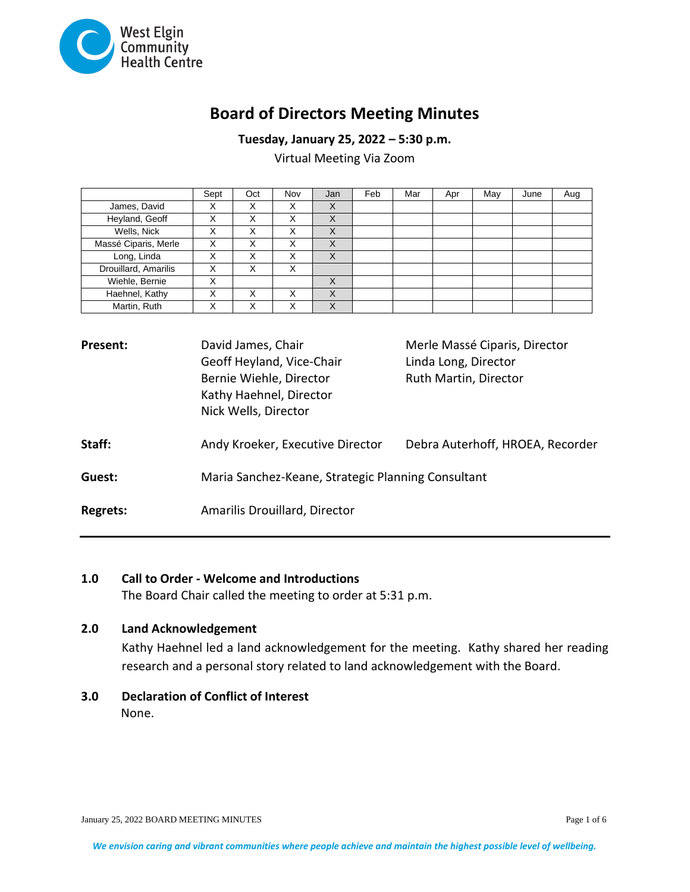

# **Board of Directors Meeting Minutes**

**Tuesday, January 25, 2022 – 5:30 p.m.**

Virtual Meeting Via Zoom

|                      | Sept | Oct | Nov               | Jan       | Feb | Mar | Apr | May | June | Aug |
|----------------------|------|-----|-------------------|-----------|-----|-----|-----|-----|------|-----|
| James, David         |      | ⋏   |                   | $\lambda$ |     |     |     |     |      |     |
| Heyland, Geoff       | х    | ⋏   | v<br>∧            | X         |     |     |     |     |      |     |
| Wells, Nick          |      | ∧   | v                 |           |     |     |     |     |      |     |
| Massé Ciparis, Merle | х    | ⋏   | ⌒                 | X         |     |     |     |     |      |     |
| Long, Linda          | х    | ⋏   | $\checkmark$<br>⌒ | X         |     |     |     |     |      |     |
| Drouillard, Amarilis | Χ    | л   | $\checkmark$      |           |     |     |     |     |      |     |
| Wiehle, Bernie       | X    |     |                   | X         |     |     |     |     |      |     |
| Haehnel, Kathy       | Χ    | ⋏   | $\checkmark$      | X         |     |     |     |     |      |     |
| Martin, Ruth         |      |     |                   |           |     |     |     |     |      |     |

| <b>Present:</b> | David James, Chair                                 | Merle Massé Ciparis, Director    |  |  |
|-----------------|----------------------------------------------------|----------------------------------|--|--|
|                 | Geoff Heyland, Vice-Chair                          | Linda Long, Director             |  |  |
|                 | Bernie Wiehle, Director                            | Ruth Martin, Director            |  |  |
|                 | Kathy Haehnel, Director                            |                                  |  |  |
|                 | Nick Wells, Director                               |                                  |  |  |
| Staff:          | Andy Kroeker, Executive Director                   | Debra Auterhoff, HROEA, Recorder |  |  |
| Guest:          | Maria Sanchez-Keane, Strategic Planning Consultant |                                  |  |  |
| <b>Regrets:</b> | Amarilis Drouillard, Director                      |                                  |  |  |

# **1.0 Call to Order - Welcome and Introductions**

The Board Chair called the meeting to order at 5:31 p.m.

# **2.0 Land Acknowledgement**

Kathy Haehnel led a land acknowledgement for the meeting. Kathy shared her reading research and a personal story related to land acknowledgement with the Board.

**3.0 Declaration of Conflict of Interest** None.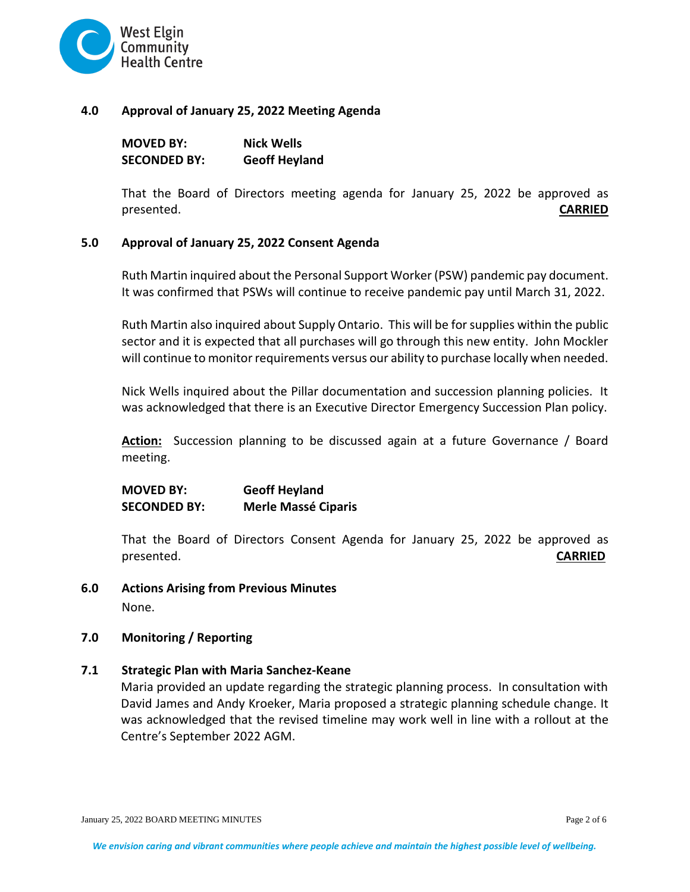

#### **4.0 Approval of January 25, 2022 Meeting Agenda**

| <b>MOVED BY:</b> | <b>Nick Wells</b>    |
|------------------|----------------------|
| SECONDED BY:     | <b>Geoff Heyland</b> |

That the Board of Directors meeting agenda for January 25, 2022 be approved as presented. **CARRIED**

### **5.0 Approval of January 25, 2022 Consent Agenda**

Ruth Martin inquired about the Personal Support Worker (PSW) pandemic pay document. It was confirmed that PSWs will continue to receive pandemic pay until March 31, 2022.

Ruth Martin also inquired about Supply Ontario. This will be for supplies within the public sector and it is expected that all purchases will go through this new entity. John Mockler will continue to monitor requirements versus our ability to purchase locally when needed.

Nick Wells inquired about the Pillar documentation and succession planning policies. It was acknowledged that there is an Executive Director Emergency Succession Plan policy.

**Action:** Succession planning to be discussed again at a future Governance / Board meeting.

**MOVED BY: Geoff Heyland SECONDED BY: Merle Massé Ciparis**

That the Board of Directors Consent Agenda for January 25, 2022 be approved as presented. **CARRIED**

**6.0 Actions Arising from Previous Minutes**  None.

#### **7.0 Monitoring / Reporting**

**7.1 Strategic Plan with Maria Sanchez-Keane**

Maria provided an update regarding the strategic planning process. In consultation with David James and Andy Kroeker, Maria proposed a strategic planning schedule change. It was acknowledged that the revised timeline may work well in line with a rollout at the Centre's September 2022 AGM.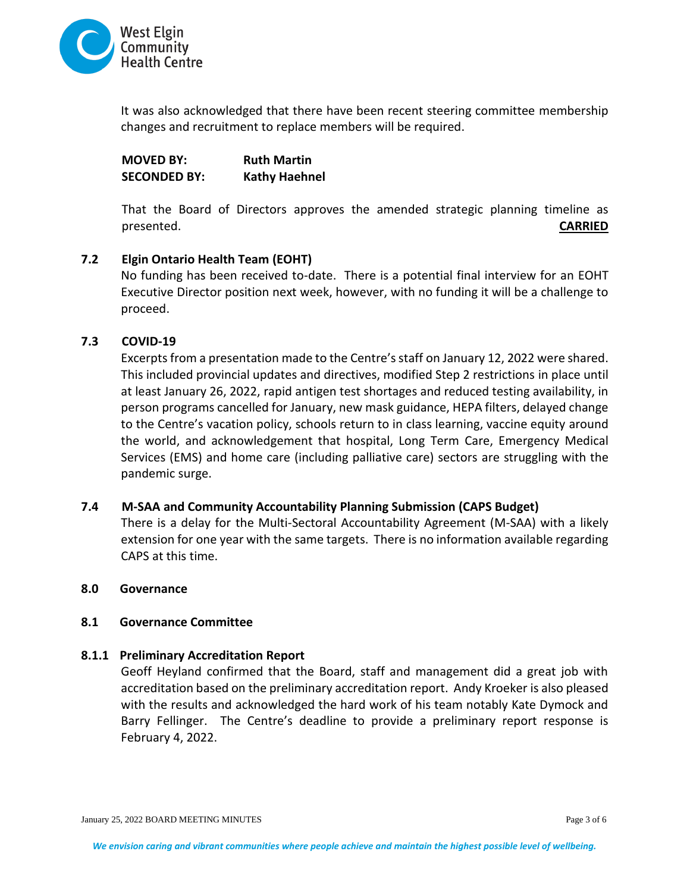

It was also acknowledged that there have been recent steering committee membership changes and recruitment to replace members will be required.

**MOVED BY: Ruth Martin SECONDED BY: Kathy Haehnel** 

That the Board of Directors approves the amended strategic planning timeline as presented. **CARRIED**

### **7.2 Elgin Ontario Health Team (EOHT)**

No funding has been received to-date. There is a potential final interview for an EOHT Executive Director position next week, however, with no funding it will be a challenge to proceed.

# **7.3 COVID-19**

Excerpts from a presentation made to the Centre's staff on January 12, 2022 were shared. This included provincial updates and directives, modified Step 2 restrictions in place until at least January 26, 2022, rapid antigen test shortages and reduced testing availability, in person programs cancelled for January, new mask guidance, HEPA filters, delayed change to the Centre's vacation policy, schools return to in class learning, vaccine equity around the world, and acknowledgement that hospital, Long Term Care, Emergency Medical Services (EMS) and home care (including palliative care) sectors are struggling with the pandemic surge.

# **7.4 M-SAA and Community Accountability Planning Submission (CAPS Budget)**

There is a delay for the Multi-Sectoral Accountability Agreement (M-SAA) with a likely extension for one year with the same targets. There is no information available regarding CAPS at this time.

### **8.0 Governance**

#### **8.1 Governance Committee**

#### **8.1.1 Preliminary Accreditation Report**

Geoff Heyland confirmed that the Board, staff and management did a great job with accreditation based on the preliminary accreditation report. Andy Kroeker is also pleased with the results and acknowledged the hard work of his team notably Kate Dymock and Barry Fellinger. The Centre's deadline to provide a preliminary report response is February 4, 2022.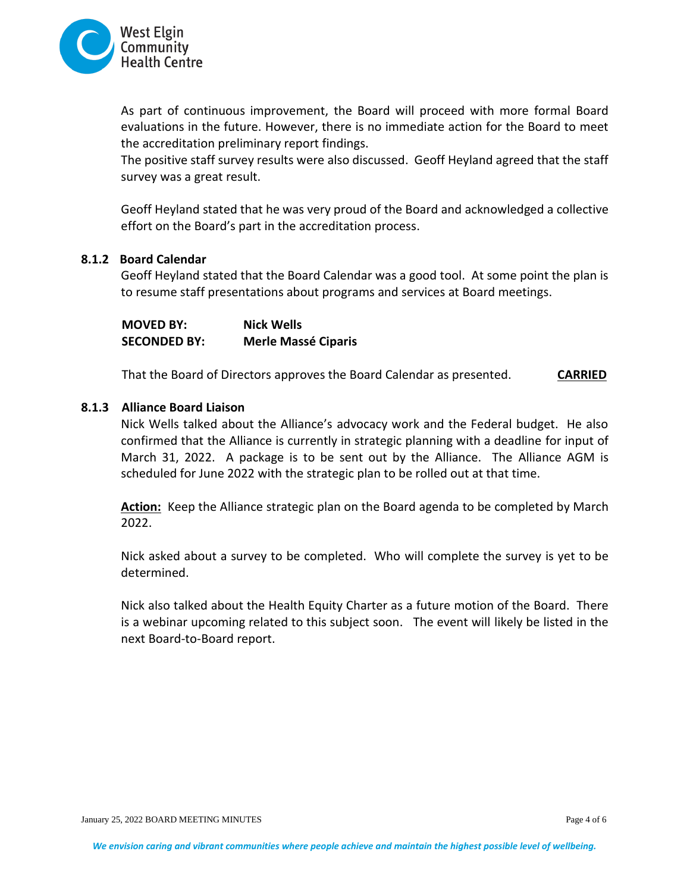

As part of continuous improvement, the Board will proceed with more formal Board evaluations in the future. However, there is no immediate action for the Board to meet the accreditation preliminary report findings.

The positive staff survey results were also discussed. Geoff Heyland agreed that the staff survey was a great result.

Geoff Heyland stated that he was very proud of the Board and acknowledged a collective effort on the Board's part in the accreditation process.

### **8.1.2 Board Calendar**

Geoff Heyland stated that the Board Calendar was a good tool. At some point the plan is to resume staff presentations about programs and services at Board meetings.

**MOVED BY: Nick Wells SECONDED BY: Merle Massé Ciparis** 

That the Board of Directors approves the Board Calendar as presented. **CARRIED**

### **8.1.3 Alliance Board Liaison**

Nick Wells talked about the Alliance's advocacy work and the Federal budget. He also confirmed that the Alliance is currently in strategic planning with a deadline for input of March 31, 2022. A package is to be sent out by the Alliance. The Alliance AGM is scheduled for June 2022 with the strategic plan to be rolled out at that time.

Action: Keep the Alliance strategic plan on the Board agenda to be completed by March 2022.

Nick asked about a survey to be completed. Who will complete the survey is yet to be determined.

Nick also talked about the Health Equity Charter as a future motion of the Board. There is a webinar upcoming related to this subject soon. The event will likely be listed in the next Board-to-Board report.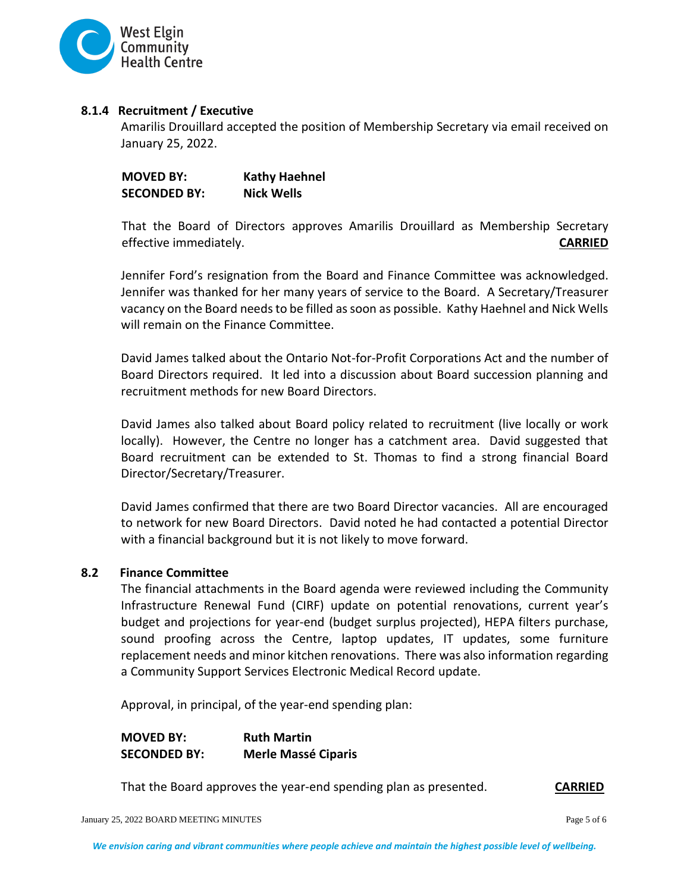

## **8.1.4 Recruitment / Executive**

Amarilis Drouillard accepted the position of Membership Secretary via email received on January 25, 2022.

| <b>MOVED BY:</b>    | <b>Kathy Haehnel</b> |
|---------------------|----------------------|
| <b>SECONDED BY:</b> | <b>Nick Wells</b>    |

That the Board of Directors approves Amarilis Drouillard as Membership Secretary effective immediately. **CARRIED**

Jennifer Ford's resignation from the Board and Finance Committee was acknowledged. Jennifer was thanked for her many years of service to the Board. A Secretary/Treasurer vacancy on the Board needs to be filled as soon as possible. Kathy Haehnel and Nick Wells will remain on the Finance Committee.

David James talked about the Ontario Not-for-Profit Corporations Act and the number of Board Directors required. It led into a discussion about Board succession planning and recruitment methods for new Board Directors.

David James also talked about Board policy related to recruitment (live locally or work locally). However, the Centre no longer has a catchment area. David suggested that Board recruitment can be extended to St. Thomas to find a strong financial Board Director/Secretary/Treasurer.

David James confirmed that there are two Board Director vacancies. All are encouraged to network for new Board Directors. David noted he had contacted a potential Director with a financial background but it is not likely to move forward.

#### **8.2 Finance Committee**

The financial attachments in the Board agenda were reviewed including the Community Infrastructure Renewal Fund (CIRF) update on potential renovations, current year's budget and projections for year-end (budget surplus projected), HEPA filters purchase, sound proofing across the Centre, laptop updates, IT updates, some furniture replacement needs and minor kitchen renovations. There was also information regarding a Community Support Services Electronic Medical Record update.

Approval, in principal, of the year-end spending plan:

**MOVED BY: Ruth Martin SECONDED BY: Merle Massé Ciparis**

That the Board approves the year-end spending plan as presented. **CARRIED**

January 25, 2022 BOARD MEETING MINUTES Page 5 of 6